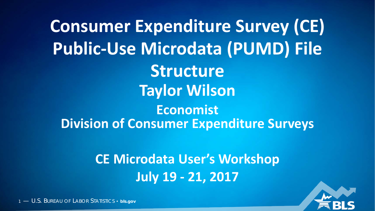**Consumer Expenditure Survey (CE) Public-Use Microdata (PUMD) File Structure Taylor Wilson Economist Division of Consumer Expenditure Surveys**

> **CE Microdata User's Workshop July 19 - 21, 2017**

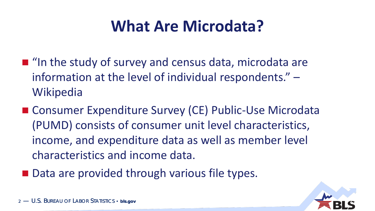## **What Are Microdata?**

- $\blacksquare$  "In the study of survey and census data, microdata are information at the level of individual respondents." – **Wikipedia**
- Consumer Expenditure Survey (CE) Public-Use Microdata (PUMD) consists of consumer unit level characteristics, income, and expenditure data as well as member level characteristics and income data.
- Data are provided through various file types.

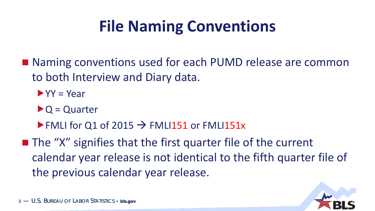## **File Naming Conventions**

- Naming conventions used for each PUMD release are common to both Interview and Diary data.
	- $\blacktriangleright$  YY = Year
	- $\triangleright$  Q = Quarter
	- FMLI for Q1 of 2015  $\rightarrow$  FMLI151 or FMLI151x
- $\blacksquare$  The "X" signifies that the first quarter file of the current calendar year release is not identical to the fifth quarter file of the previous calendar year release.

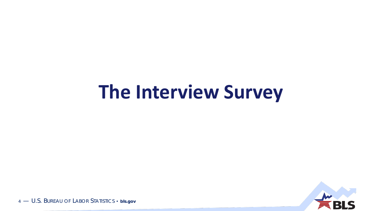# **The Interview Survey**

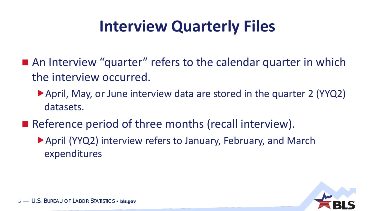## **Interview Quarterly Files**

- An Interview "quarter" refers to the calendar quarter in which the interview occurred.
	- April, May, or June interview data are stored in the quarter 2 (YYQ2) datasets.
- Reference period of three months (recall interview).
	- ▶ April (YYQ2) interview refers to January, February, and March expenditures

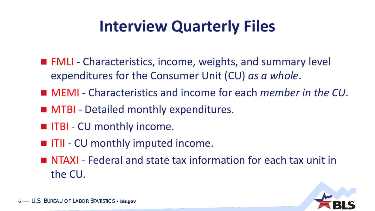## **Interview Quarterly Files**

- FMLI Characteristics, income, weights, and summary level expenditures for the Consumer Unit (CU) *as a whole*.
- MEMI Characteristics and income for each *member in the CU*.
- **MTBI** Detailed monthly expenditures.
- **IFRI** CU monthly income.
- **IFII** CU monthly imputed income.
- NTAXI Federal and state tax information for each tax unit in the CU.

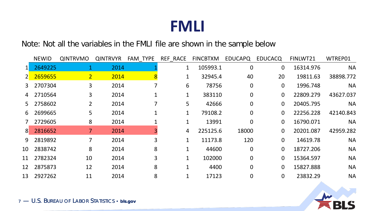#### Note: Not all the variables in the FMLI file are shown in the sample below

|                | <b>NEWID</b> | <b>QINTRVMO</b> | <b>QINTRVYR</b> | FAM TYPE | REF RACE     | <b>FINCBTXM</b> | <b>EDUCAPQ</b> | <b>EDUCACQ</b> | FINLWT21  | WTREP01   |
|----------------|--------------|-----------------|-----------------|----------|--------------|-----------------|----------------|----------------|-----------|-----------|
|                | 2649225      |                 | 2014            |          | $1\,$        | 105993.1        | $\overline{0}$ | $\overline{0}$ | 16314.976 | <b>NA</b> |
| $2^{\square}$  | 2659655      | 2 <sup>1</sup>  | 2014            | 8        |              | 32945.4         | 40             | 20             | 19811.63  | 38898.772 |
| 3              | 2707304      | 3               | 2014            |          | 6            | 78756           | $\overline{0}$ | $\overline{0}$ | 1996.748  | <b>NA</b> |
| 4              | 2710564      | 3               | 2014            |          | 1            | 383110          | $\overline{0}$ | $\mathbf{0}$   | 22809.279 | 43627.037 |
| 5              | 2758602      | $\overline{2}$  | 2014            |          | 5            | 42666           | $\overline{0}$ | $\overline{0}$ | 20405.795 | <b>NA</b> |
| 6              | 2699665      | 5               | 2014            |          |              | 79108.2         | $\Omega$       | $\overline{0}$ | 22256.228 | 42140.843 |
|                | 2729605      | 8               | 2014            |          |              | 13991           | $\Omega$       | $\overline{0}$ | 16790.071 | <b>NA</b> |
| 8 <sup>°</sup> | 2816652      |                 | 2014            |          | 4            | 225125.6        | 18000          | $\overline{0}$ | 20201.087 | 42959.282 |
| 9              | 2819892      |                 | 2014            | 3        |              | 11173.8         | 120            | $\overline{0}$ | 14619.78  | <b>NA</b> |
| 10             | 2838742      | 8               | 2014            | 8        |              | 44600           | $\Omega$       | $\overline{0}$ | 18727.206 | <b>NA</b> |
| 11             | 2782324      | 10              | 2014            | 3        | $\mathbf{1}$ | 102000          | $\Omega$       | $\overline{0}$ | 15364.597 | <b>NA</b> |
| 12             | 2875873      | 12              | 2014            | 8        |              | 4400            | $\overline{0}$ | $\overline{0}$ | 15827.888 | <b>NA</b> |
| 13             | 2927262      | 11              | 2014            | 8        |              | 17123           | 0              | $\mathbf{0}$   | 23832.29  | <b>NA</b> |

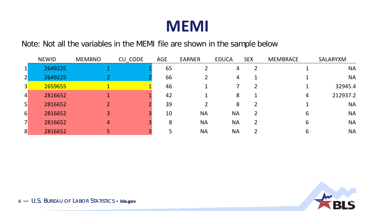

Note: Not all the variables in the MEMI file are shown in the sample below

|                 | <b>NEWID</b> | <b>MEMBNO</b> | CU_CODE | <b>AGE</b> | <b>EARNER</b> | <b>EDUCA</b>   | <b>SEX</b> | <b>MEMBRACE</b> | SALARYXM  |
|-----------------|--------------|---------------|---------|------------|---------------|----------------|------------|-----------------|-----------|
| $\mathbf{1}$    | 2649225      |               |         | 65         |               | 4              | 2          |                 | <b>NA</b> |
| $\overline{2}$  | 2649225      |               |         | 66         |               | $\overline{4}$ |            |                 | <b>NA</b> |
| 3               | 2659655      |               |         | 46         |               |                |            |                 | 32945.4   |
| $\vert$         | 2816652      |               |         | 42         |               | 8              |            | 4               | 212937.2  |
| $\vert 5 \vert$ | 2816652      |               |         | 39         |               | 8              |            |                 | <b>NA</b> |
| 6               | 2816652      |               |         | 10         | <b>NA</b>     | <b>NA</b>      |            | h               | <b>NA</b> |
| $\overline{7}$  | 2816652      | 4             |         | 8          | <b>NA</b>     | <b>NA</b>      |            | b               | <b>NA</b> |
| 8               | 2816652      |               |         |            | <b>NA</b>     | <b>NA</b>      |            |                 | <b>NA</b> |

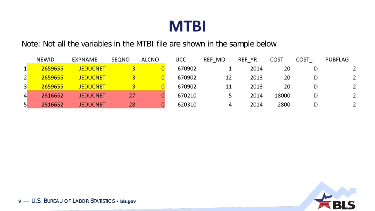

Note: Not all the variables in the MTBI file are shown in the sample below

|                 | <b>NEWID</b> | <b>EXPNAME</b>  | <b>SEQNO</b> | <b>ALCNO</b> | UCC    | REF MO | <b>REF YR</b> | <b>COST</b> | <b>COST</b> | <b>PUBFLAG</b> |
|-----------------|--------------|-----------------|--------------|--------------|--------|--------|---------------|-------------|-------------|----------------|
|                 | 2659655      | <b>JEDUCNET</b> |              |              | 670902 |        | 2014          | 20          |             |                |
| $\overline{2}$  | 2659655      | <b>JEDUCNET</b> |              |              | 670902 | 12     | 2013          | 20          | D           | $\overline{2}$ |
| $\overline{3}$  | 2659655      | <b>JEDUCNET</b> |              |              | 670902 | 11     | 2013          | 20          | D           | $\overline{2}$ |
| $\vert 4 \vert$ | 2816652      | <b>JEDUCNET</b> | 27           |              | 670210 |        | 2014          | 18000       | D           | $\overline{2}$ |
| 5 <sup>1</sup>  | 2816652      | <b>JEDUCNET</b> | 28           |              | 620310 | 4      | 2014          | 2800        | D           |                |

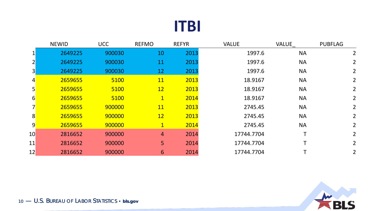#### **ITBI**

|                 | <b>NEWID</b> | <b>UCC</b> | <b>REFMO</b>   | <b>REFYR</b> | <b>VALUE</b> | <b>VALUE</b> | <b>PUBFLAG</b> |
|-----------------|--------------|------------|----------------|--------------|--------------|--------------|----------------|
|                 | 2649225      | 900030     | 10             | 2013         | 1997.6       | <b>NA</b>    | 2              |
|                 | 2649225      | 900030     | 11             | 2013         | 1997.6       | <b>NA</b>    | $\overline{2}$ |
| 3               | 2649225      | 900030     | 12             | 2013         | 1997.6       | <b>NA</b>    | 2 <sup>1</sup> |
| $\vert 4 \vert$ | 2659655      | 5100       | <b>11</b>      | 2013         | 18.9167      | <b>NA</b>    | 2 <sup>1</sup> |
| 5               | 2659655      | 5100       | 12             | 2013         | 18.9167      | <b>NA</b>    | $2^{\circ}$    |
| $\overline{6}$  | 2659655      | 5100       | $\mathbf{1}$   | 2014         | 18.9167      | <b>NA</b>    | $2^{\circ}$    |
|                 | 2659655      | 900000     | <b>11</b>      | 2013         | 2745.45      | <b>NA</b>    | $\overline{2}$ |
| 8 <sup>°</sup>  | 2659655      | 900000     | 12             | 2013         | 2745.45      | <b>NA</b>    | 2              |
| $\overline{9}$  | 2659655      | 900000     | $\mathbf{1}$   | 2014         | 2745.45      | <b>NA</b>    | 2              |
| 10              | 2816652      | 900000     | $\overline{4}$ | 2014         | 17744.7704   |              | $\overline{2}$ |
| 11              | 2816652      | 900000     | 5              | 2014         | 17744.7704   |              | $\overline{2}$ |
| 12              | 2816652      | 900000     | 6              | 2014         | 17744.7704   |              | 2 <sup>1</sup> |

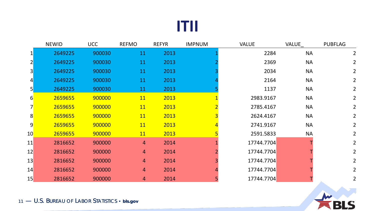#### **ITII**

|                 | <b>NEWID</b> | <b>UCC</b> | <b>REFMO</b>   | <b>REFYR</b> | <b>IMPNUM</b> | <b>VALUE</b> | <b>VALUE</b> | <b>PUBFLAG</b> |
|-----------------|--------------|------------|----------------|--------------|---------------|--------------|--------------|----------------|
| $1\vert$        | 2649225      | 900030     | 11             | 2013         |               | 2284         | <b>NA</b>    | $\overline{2}$ |
| $2\vert$        | 2649225      | 900030     | 11             | 2013         |               | 2369         | <b>NA</b>    | $\overline{2}$ |
| 3               | 2649225      | 900030     | 11             | 2013         |               | 2034         | <b>NA</b>    | $\overline{2}$ |
| $\vert 4 \vert$ | 2649225      | 900030     | 11             | 2013         |               | 2164         | <b>NA</b>    | $\overline{2}$ |
| 5 <sup>1</sup>  | 2649225      | 900030     | 11             | 2013         |               | 1137         | <b>NA</b>    | $\overline{2}$ |
| $6 \mid$        | 2659655      | 900000     | <b>11</b>      | 2013         |               | 2983.9167    | <b>NA</b>    | $2^{\circ}$    |
|                 | 2659655      | 900000     | <b>11</b>      | 2013         |               | 2785.4167    | <b>NA</b>    | $2^{\circ}$    |
| 8               | 2659655      | 900000     | <b>11</b>      | 2013         |               | 2624.4167    | <b>NA</b>    | $\overline{2}$ |
| 9               | 2659655      | 900000     | <b>11</b>      | 2013         |               | 2741.9167    | <b>NA</b>    | $2^{\circ}$    |
| 10 <sup>°</sup> | 2659655      | 900000     | <b>11</b>      | 2013         |               | 2591.5833    | <b>NA</b>    | $\overline{2}$ |
| 11              | 2816652      | 900000     | $\overline{4}$ | 2014         |               | 17744.7704   |              | $2^{\circ}$    |
| 12              | 2816652      | 900000     | 4              | 2014         |               | 17744.7704   |              | $\overline{2}$ |
| 13              | 2816652      | 900000     | 4              | 2014         |               | 17744.7704   |              | $2^{\circ}$    |
| 14              | 2816652      | 900000     | $\overline{4}$ | 2014         |               | 17744.7704   |              | $\overline{2}$ |
| 15              | 2816652      | 900000     | 4              | 2014         |               | 17744.7704   |              | $\overline{2}$ |

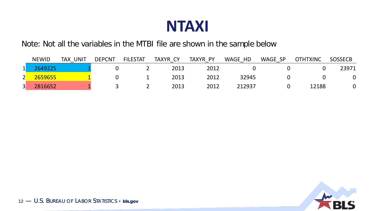

Note: Not all the variables in the MTBI file are shown in the sample below

|                   | <b>NEWID</b> | UNIT<br><b>TAX</b> | <b>DEPCNT</b> | <b>FILESTAT</b> | TAXYR CY | TAXYR PY | WAGE HD | WAGE SP | <b>OTHTXINC</b> | <b>SOSSECB</b> |
|-------------------|--------------|--------------------|---------------|-----------------|----------|----------|---------|---------|-----------------|----------------|
| $\mathbf{1}$<br>∸ | 2649225      |                    |               |                 | 2013     | 2012     |         |         |                 | 23971          |
| 2                 | 2659655      |                    |               |                 | 2013     | 2012     | 32945   |         |                 | 0              |
| $\vert 3 \vert$   | 2816652      |                    |               |                 | 2013     | 2012     | 212937  |         | 12188           |                |

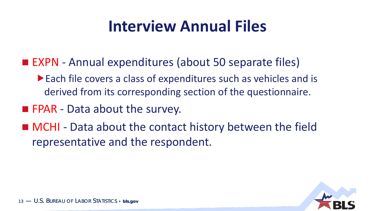## **Interview Annual Files**

- EXPN Annual expenditures (about 50 separate files)
	- Each file covers a class of expenditures such as vehicles and is derived from its corresponding section of the questionnaire.
- **FPAR** Data about the survey.
- MCHI Data about the contact history between the field representative and the respondent.

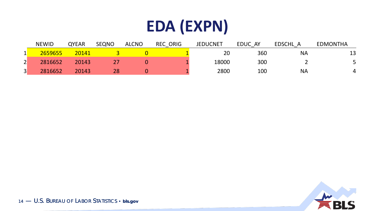## **EDA (EXPN)**

|                | <b>NEWID</b> | <b>QYEAR</b> | <b>SEQNO</b> | <b>ALCNO</b> | <b>REC ORIG</b> | <b>JEDUCNET</b> | EDUC AY | EDSCHL A  | <b>EDMONTHA</b> |
|----------------|--------------|--------------|--------------|--------------|-----------------|-----------------|---------|-----------|-----------------|
|                | 2659655      | 20141        |              |              |                 | 20              | 360     | <b>NA</b> | 13              |
| $\overline{2}$ | 2816652      | 20143        |              |              |                 | 18000           | 300     |           |                 |
| $\overline{3}$ | 2816652      | 20143        | 28           |              |                 | 2800            | 100     | <b>NA</b> |                 |

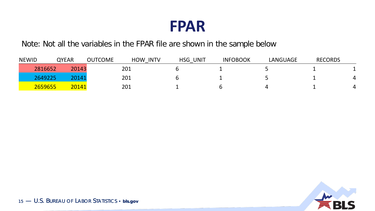

Note: Not all the variables in the FPAR file are shown in the sample below

| <b>NEWID</b> | <b>QYEAR</b> | <b>OUTCOME</b> | <b>INTV</b><br><b>HOW</b> | <b>UNIT</b><br>HSG | <b>INFOBOOK</b> | <b>LANGUAGE</b> | <b>RECORDS</b> |  |
|--------------|--------------|----------------|---------------------------|--------------------|-----------------|-----------------|----------------|--|
| 2816652      | 20143        |                | 201                       |                    |                 |                 |                |  |
| 2649225      | 20141        |                | 201                       |                    |                 |                 |                |  |
| 2659655      | 20141        |                | 201                       |                    |                 |                 |                |  |

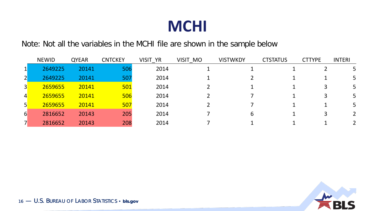#### **MCHI**

Note: Not all the variables in the MCHI file are shown in the sample below

|                  | <b>NEWID</b> | <b>QYEAR</b> | <b>CNTCKEY</b> | VISIT YR | VISIT MO | <b>VISTWKDY</b> | <b>CTSTATUS</b> | <b>CTTYPE</b> | <b>INTERI</b> |
|------------------|--------------|--------------|----------------|----------|----------|-----------------|-----------------|---------------|---------------|
|                  | 2649225      | 20141        | 506            | 2014     |          |                 |                 |               |               |
|                  | 2649225      | 20141        | 507            | 2014     |          |                 |                 |               |               |
| $\overline{3}$   | 2659655      | 20141        | 501            | 2014     |          |                 |                 |               | 5             |
| $\overline{4}$   | 2659655      | 20141        | 506            | 2014     |          |                 |                 |               |               |
| 5 <sup>1</sup>   | 2659655      | 20141        | 507            | 2014     |          |                 |                 |               | 5.            |
| $6 \overline{6}$ | 2816652      | 20143        | 205            | 2014     |          | h               |                 |               |               |
|                  | 2816652      | 20143        | 208            | 2014     |          |                 |                 |               |               |

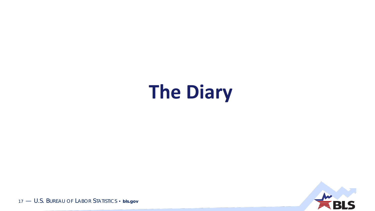# **The Diary**

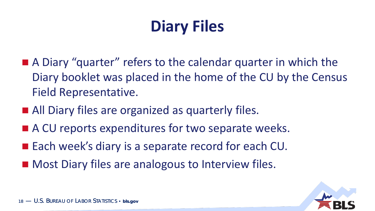## **Diary Files**

- A Diary "quarter" refers to the calendar quarter in which the Diary booklet was placed in the home of the CU by the Census Field Representative.
- All Diary files are organized as quarterly files.
- A CU reports expenditures for two separate weeks.
- Each week's diary is a separate record for each CU.
- Most Diary files are analogous to Interview files.

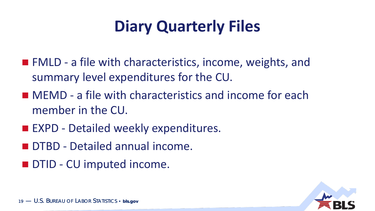## **Diary Quarterly Files**

- **FMLD** a file with characteristics, income, weights, and summary level expenditures for the CU.
- MEMD a file with characteristics and income for each member in the CU.
- **EXPD Detailed weekly expenditures.**
- **DTBD Detailed annual income.**
- **DTID CU imputed income.**

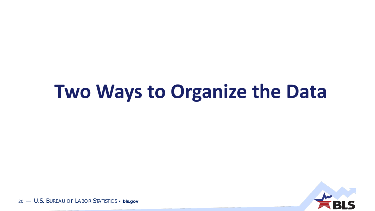# **Two Ways to Organize the Data**

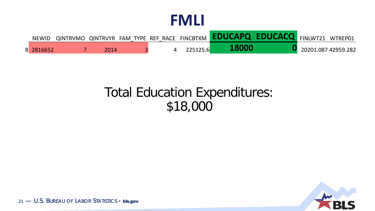| <b>NEWID</b> |      |  |          | QINTRVMO QINTRVYR FAM TYPE REF RACE FINCBTXM <b>EDUCAPQ EDUCACQ</b> FINLWT21 WTREP01 |                     |  |
|--------------|------|--|----------|--------------------------------------------------------------------------------------|---------------------|--|
| 8 2816652    | 2014 |  | 225125.6 | 18000                                                                                | 20201.087 42959.282 |  |

#### Total Education Expenditures: \$18,000

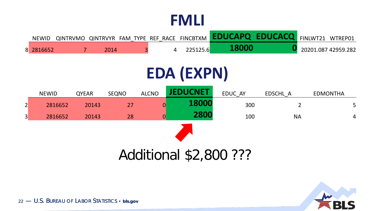| <b>NEWID</b> |      |  |          | QINTRVMO QINTRVYR FAM TYPE REF RACE FINCBTXM <b>EDUCAPQ EDUCACQ</b> FINLWT21 WTREP01 |  |                     |
|--------------|------|--|----------|--------------------------------------------------------------------------------------|--|---------------------|
| 8 2816652    | 2014 |  | 225125.6 | 18000                                                                                |  | 20201.087 42959.282 |

## **EDA (EXPN)**

|                 | <b>NEWID</b> | <b>QYEAR</b> | <b>SEQNO</b> | <b>ALCNO</b> | <b>JEDUCNET</b> | EDUC AY | EDSCHL A  | <b>EDMONTHA</b> |
|-----------------|--------------|--------------|--------------|--------------|-----------------|---------|-----------|-----------------|
| $\vert 2 \vert$ | 2816652      | 20143        | 27           | 0            | 18000           | 300     |           | 5 <sub>1</sub>  |
| $\vert 3 \vert$ | 2816652      | 20143        | 28           |              | 2800            | 100     | <b>NA</b> | $\overline{4}$  |
|                 |              |              |              |              |                 |         |           |                 |

#### Additional \$2,800 ???

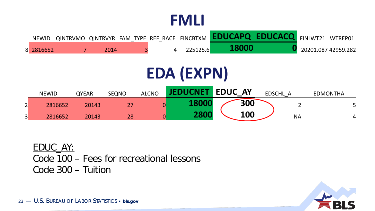| <b>NEWID</b> |  |  |  | QINTRVMO QINTRVYR FAM TYPE REF RACE FINCBTXM <b>EDUCAPQ EDUCACQ</b> FINLWT21 WTREP01 |                     |
|--------------|--|--|--|--------------------------------------------------------------------------------------|---------------------|
| 8 2816652    |  |  |  |                                                                                      | 20201.087 42959.282 |

## **EDA (EXPN)**

|        | <b>NEWID</b> | <b>QYEAR</b> | <b>SEQNO</b> | <b>ALCNO</b> | <b>IFDUCNET</b> | <b>EDUC AY</b> |     | <b>EDSCHL</b> |           | <b>EDMONTHA</b> |   |
|--------|--------------|--------------|--------------|--------------|-----------------|----------------|-----|---------------|-----------|-----------------|---|
| ◠<br>∠ | 2816652      | 20143        |              |              |                 |                | 300 |               |           |                 |   |
| 3      | 2816652      | 20143        | 28           |              | <b>2800</b>     |                | 100 |               | <b>NA</b> |                 | 4 |

EDUC\_AY: Code 100 – Fees for recreational lessons Code 300 – Tuition

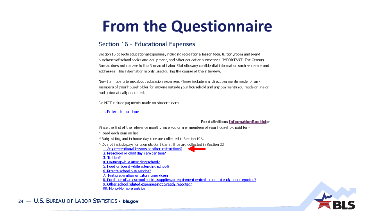### **From the Questionnaire**

#### Section 16 - Educational Expenses

Section 16 collects educational expenses, including recreational lesson fees, tuition, room and board, purchases of school books and equipment, and other educational expenses. IMPORTANT: The Census Bureau does not release to the Bureau of Labor Statistics any confidential information such as names and addresses. This information is only used during the course of the interview.

Now I am going to ask about education expenses. Please include any direct payments made for any members of your household or for anyone outside your household and any payments you made online or had automatically deducted.

Do NOT include payments made on student loans.

#### 1. Enter 1 to continue

#### For definitions Information Booklet »

Since the first of the reference month, have you or any members of your household paid for -

\* Read each item on list

\* Baby sitting and in home day care are collected in Section 19A.

\* Do not include payments on student loans. They are collected in Section 22 1. Any recreational lessons or other instructions? 2. Preschool or child day care centers? 3. Tuition? 4. Housing while attending school? 5. Food or board while attending school? 6. Private school bus service? 7. Test preparation or tutoring services? 8. Purchase of any school books, supplies, or equipment which has not already been reported? 9. Other school related expenses not already reported? 99. None/No more entries

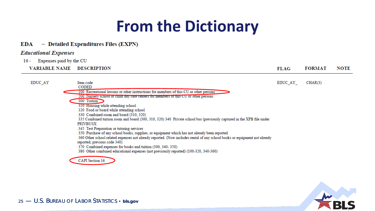### **From the Dictionary**

#### EDA - Detailed Expenditures Files (EXPN)

#### **Educational Expenses**

**EDUC AY** 

Expenses paid by the CU 16 -

**VARIABLE NAME DESCRIPTION** 

**FORMAT FLAG NOTE** 

EDUC\_AY\_  $CHAR(3)$ 

Item code **CODED** 100 Recreational lessons or other instructions for members of this CU or other persons 200 Nursery school or child day care centers for members or this CU or other persons 300 Tuition 310 Housing while attending school 320 Food or board while attending school 330 Combined room and board (310, 320) 335 Combined tuition room and board (300, 310, 320) 340 Private school bus (previously captured in the XPB file under **PRIVBUSX** 345 Test Preparation or tutoring services 350 Purchase of any school books, supplies, or equipment which has not already been reported 360 Other school related expenses not already reported. (Now includes rental of any school books or equipment not already reported, previous code 340). 370 Combined expenses for books and tuition (300, 340-350) 380 Other combined educational expenses (not previously reported) (100-320, 340-360) **CAPI** Section 16

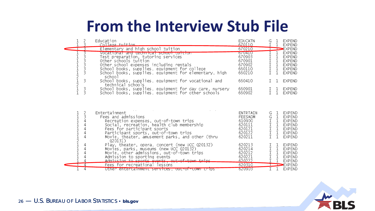### **From the Interview Stub File**

|                                | Education                                                                                                                                                                                                                                                           | <b>EDUCATN</b>                                                               | G                                                            |                                                                                    | <b>EXPEND</b>                                                                               |
|--------------------------------|---------------------------------------------------------------------------------------------------------------------------------------------------------------------------------------------------------------------------------------------------------------------|------------------------------------------------------------------------------|--------------------------------------------------------------|------------------------------------------------------------------------------------|---------------------------------------------------------------------------------------------|
| 3                              | College tuition<br>Elementary and high school tuition                                                                                                                                                                                                               | 670110<br>670210                                                             | I                                                            |                                                                                    | <b>EXPEND</b><br>EXPEND                                                                     |
| 3<br>$\frac{3}{3}$             | Vocarional and technical school turtion<br>Test preparation, tutoring services<br>Other schools tuition<br>Other school expenses including rentals<br>School books, supplies, equipment for college                                                                 | 070410<br>670903<br>670901<br>670902<br>660110                               | T<br>I<br>I<br>$\mathbbm{I}$<br>$\mathbf I$                  | $\mathbf{1}$<br>1                                                                  | <b>EXPEND</b><br><b>EXPEND</b><br><b>EXPEND</b><br><b>EXPEND</b><br><b>EXPEND</b>           |
| 2121<br>3                      | School books, supplies, equipment for elementary, high<br>school<br>School books, supplies, equipment for vocational and                                                                                                                                            | 660210<br>660410                                                             | $\mathsf{T}$<br>T.                                           | 1.<br>1                                                                            | <b>EXPEND</b><br><b>EXPEND</b>                                                              |
| 3<br>3                         | technical schools<br>School books, supplies, equipment for day care, nursery<br>School books, supplies, equipment for other schools                                                                                                                                 | 660901<br>660902                                                             | T.                                                           | 1.                                                                                 | <b>EXPEND</b><br><b>EXPEND</b>                                                              |
| $\frac{2}{3}$<br>$\frac{1}{2}$ | Entertainment<br>Fees and admissions<br>Recreation expenses, out-of-town trips<br>Social, recreation, health club membership<br>Fees for participant sports<br>Participant sports, out-of-town trips<br>Movie, theater, amusement parks, and other (thru<br>Q20131) | ENTRTAIN<br><b>FEESADM</b><br>610900<br>620111<br>620121<br>620122<br>620211 | G<br>G<br>$\mathbbm{I}$<br>$\mathbbm{I}$<br>I<br>I<br>$\top$ | L.<br>$\mathbf{1}$<br>$\mathbf{1}$<br>$\mathbf{1}$<br>$\mathbf{1}$<br>$\mathbf{1}$ | EXPEND<br>EXPEND<br><b>EXPEND</b><br>EXPEND<br>EXPEND<br><b>EXPEND</b><br><b>EXPEND</b>     |
| 4                              | Play, theater, opera, concert (new UCC Q20132)<br>Movies, parks, museums (new UCC Q20132)<br>Movie, other admissions, out-of-town trips<br>Admission to sporting events<br>Admission to sports events out-of-town trips<br>Fees for recreational lessons            | 620213<br>620214<br>620212<br>620221<br>620222<br>620310                     | I<br>I<br>T                                                  | 1<br>$\mathbf{1}$                                                                  | <b>EXPEND</b><br><b>EXPEND</b><br><b>EXPEND</b><br><b>EXPEND</b><br><b>EXPEND</b><br>EXPEND |
| 4                              | Other entertainment services, out-of-town trips                                                                                                                                                                                                                     | 020903                                                                       |                                                              | $\mathbf{1}$                                                                       | <b>EXPEND</b>                                                                               |

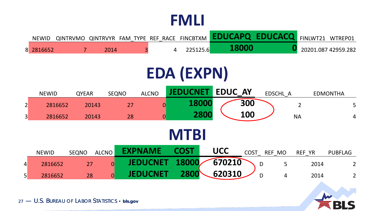| <b>NEWID</b> |      |  |          |              | QINTRVMO QINTRVYR FAM TYPE REF RACE FINCBTXM <b>EDUCAPQ EDUCACQ</b> FINLWT21 WTREP01 |                     |
|--------------|------|--|----------|--------------|--------------------------------------------------------------------------------------|---------------------|
| 8 2816652    | 2014 |  | 225125.6 | <b>18000</b> |                                                                                      | 20201.087 42959.282 |

## **EDA (EXPN)**

|                 | <b>NEWID</b> | <b>QYEAR</b> | <b>SEQNO</b>   | <b>ALCNO</b>    | <b>JEDUCNET</b> |       | <b>EDUC AY</b> |            | EDSCHL A    |                | <b>EDMONTHA</b> |
|-----------------|--------------|--------------|----------------|-----------------|-----------------|-------|----------------|------------|-------------|----------------|-----------------|
| $\overline{2}$  | 2816652      | 20143        | 27             | $\overline{0}$  |                 | 18000 |                | 300        |             | $\overline{2}$ | 5 <sup>5</sup>  |
| $\vert 3 \vert$ | 2816652      | 20143        | 28             | $\overline{0}$  |                 | 2800  |                | <b>100</b> |             | <b>NA</b>      | $\overline{4}$  |
|                 | <b>MTBI</b>  |              |                |                 |                 |       |                |            |             |                |                 |
|                 | <b>NEWID</b> | <b>SEQNO</b> | <b>ALCNO</b>   | <b>EXPNAME</b>  | <b>COST</b>     |       | <b>UCC</b>     |            | COST REF MO | REF YR         | <b>PUBFLAG</b>  |
| $\overline{4}$  | 2816652      | 27           | $\overline{0}$ | <b>JEDUCNET</b> | 18000           |       | 670210         |            | 5<br>D      | 2014           | $\overline{2}$  |
| $\vert 5 \vert$ | 2816652      | 28           | $\overline{0}$ | <b>JEDUCNET</b> | 2800            |       | 620310         |            | D<br>4      | 2014           | $\overline{2}$  |

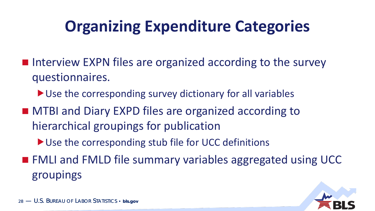## **Organizing Expenditure Categories**

- **Interview EXPN files are organized according to the survey** questionnaires.
	- ▶ Use the corresponding survey dictionary for all variables
- MTBI and Diary EXPD files are organized according to hierarchical groupings for publication
	- ▶ Use the corresponding stub file for UCC definitions
- FMLI and FMLD file summary variables aggregated using UCC groupings

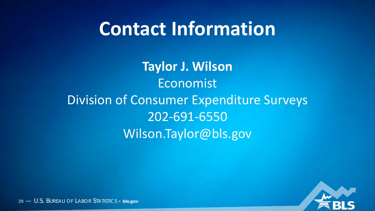## **Contact Information**

**Taylor J. Wilson** Economist Division of Consumer Expenditure Surveys 202-691-6550 Wilson.Taylor@bls.gov